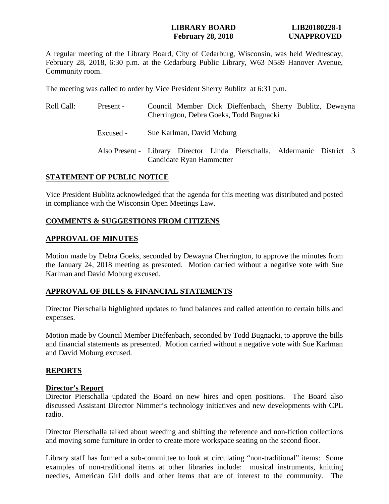### **LIBRARY BOARD LIB20180228-1 February 28, 2018 UNAPPROVED**

A regular meeting of the Library Board, City of Cedarburg, Wisconsin, was held Wednesday, February 28, 2018, 6:30 p.m. at the Cedarburg Public Library, W63 N589 Hanover Avenue, Community room.

The meeting was called to order by Vice President Sherry Bublitz at 6:31 p.m.

| Roll Call: | Present - | Council Member Dick Dieffenbach, Sherry Bublitz, Dewayna<br>Cherrington, Debra Goeks, Todd Bugnacki  |
|------------|-----------|------------------------------------------------------------------------------------------------------|
|            | Excused - | Sue Karlman, David Moburg                                                                            |
|            |           | Also Present - Library Director Linda Pierschalla, Aldermanic District 3<br>Candidate Ryan Hammetter |

### **STATEMENT OF PUBLIC NOTICE**

Vice President Bublitz acknowledged that the agenda for this meeting was distributed and posted in compliance with the Wisconsin Open Meetings Law.

### **COMMENTS & SUGGESTIONS FROM CITIZENS**

### **APPROVAL OF MINUTES**

Motion made by Debra Goeks, seconded by Dewayna Cherrington, to approve the minutes from the January 24, 2018 meeting as presented. Motion carried without a negative vote with Sue Karlman and David Moburg excused.

### **APPROVAL OF BILLS & FINANCIAL STATEMENTS**

Director Pierschalla highlighted updates to fund balances and called attention to certain bills and expenses.

Motion made by Council Member Dieffenbach, seconded by Todd Bugnacki, to approve the bills and financial statements as presented. Motion carried without a negative vote with Sue Karlman and David Moburg excused.

### **REPORTS**

### **Director's Report**

Director Pierschalla updated the Board on new hires and open positions. The Board also discussed Assistant Director Nimmer's technology initiatives and new developments with CPL radio.

Director Pierschalla talked about weeding and shifting the reference and non-fiction collections and moving some furniture in order to create more workspace seating on the second floor.

Library staff has formed a sub-committee to look at circulating "non-traditional" items: Some examples of non-traditional items at other libraries include: musical instruments, knitting needles, American Girl dolls and other items that are of interest to the community. The